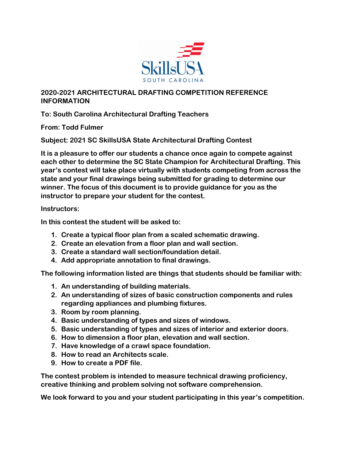

### **2020-2021 ARCHITECTURAL DRAFTING COMPETITION REFERENCE INFORMATION**

## **To: South Carolina Architectural Drafting Teachers**

**From: Todd Fulmer**

**Subject: 2021 SC SkillsUSA State Architectural Drafting Contest**

**It is a pleasure to offer our students a chance once again to compete against each other to determine the SC State Champion for Architectural Drafting. This year·s contest will take place virtually with students competing from across the state and your final drawings being submitted for grading to determine our winner. The focus of this document is to provide guidance for you as the instructor to prepare your student for the contest.**

#### **Instructors:**

**In this contest the student will be asked to:**

- **1. Create a typical floor plan from a scaled schematic drawing.**
- **2. Create an elevation from a floor plan and wall section.**
- **3. Create a standard wall section/foundation detail.**
- **4. Add appropriate annotation to final drawings.**

**The following information listed are things that students should be familiar with:**

- **1. An understanding of building materials.**
- **2. An understanding of sizes of basic construction components and rules regarding appliances and plumbing fixtures.**
- **3. Room by room planning.**
- **4. Basic understanding of types and sizes of windows.**
- **5. Basic understanding of types and sizes of interior and exterior doors.**
- **6. How to dimension a floor plan, elevation and wall section.**
- **7. Have knowledge of a crawl space foundation.**
- **8. How to read an Architects scale.**
- **9. How to create a PDF file.**

**The contest problem is intended to measure technical drawing proficiency, creative thinking and problem solving not software comprehension.**

**We look forward to you and your student participating in this year·s competition.**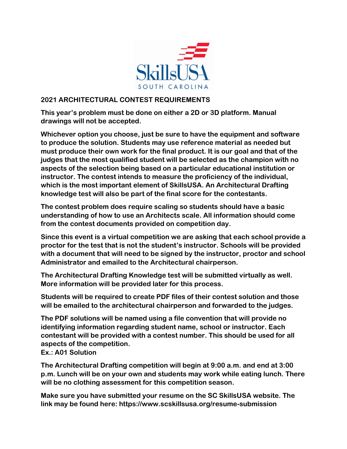

#### **2021 ARCHITECTURAL CONTEST REQUIREMENTS**

**This year·s problem must be done on either a 2D or 3D platform. Manual drawings will not be accepted.**

**Whichever option you choose, just be sure to have the equipment and software to produce the solution. Students may use reference material as needed but must produce their own work for the final product. It is our goal and that of the judges that the most qualified student will be selected as the champion with no aspects of the selection being based on a particular educational institution or instructor. The contest intends to measure the proficiency of the individual, which is the most important element of SkillsUSA. An Architectural Drafting knowledge test will also be part of the final score for the contestants.**

**The contest problem does require scaling so students should have a basic understanding of how to use an Architects scale. All information should come from the contest documents provided on competition day.**

**Since this event is a virtual competition we are asking that each school provide a proctor for the test that is not the student·s instructor. Schools will be provided with a document that will need to be signed by the instructor, proctor and school Administrator and emailed to the Architectural chairperson.**

**The Architectural Drafting Knowledge test will be submitted virtually as well. More information will be provided later for this process.**

**Students will be required to create PDF files of their contest solution and those will be emailed to the architectural chairperson and forwarded to the judges.**

**The PDF solutions will be named using a file convention that will provide no identifying information regarding student name, school or instructor. Each contestant will be provided with a contest number. This should be used for all aspects of the competition.**

**Ex.: A01 Solution**

**The Architectural Drafting competition will begin at 9:00 a.m. and end at 3:00 p.m. Lunch will be on your own and students may work while eating lunch. There will be no clothing assessment for this competition season.**

**Make sure you have submitted your resume on the SC SkillsUSA website. The link may be found here: https://www.scskillsusa.org/resume-submission**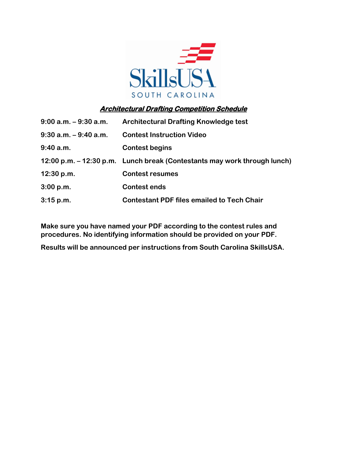

# **Architectural Drafting Competition Schedule**

| $9:00$ a.m. $-9:30$ a.m. | <b>Architectural Drafting Knowledge test</b>                             |
|--------------------------|--------------------------------------------------------------------------|
| $9:30$ a.m. $-9:40$ a.m. | <b>Contest Instruction Video</b>                                         |
| 9:40 a.m.                | <b>Contest begins</b>                                                    |
|                          | 12:00 p.m. – 12:30 p.m. Lunch break (Contestants may work through lunch) |
| 12:30 p.m.               | <b>Contest resumes</b>                                                   |
| 3:00 p.m.                | <b>Contest ends</b>                                                      |
| 3:15 p.m.                | <b>Contestant PDF files emailed to Tech Chair</b>                        |

**Make sure you have named your PDF according to the contest rules and procedures. No identifying information should be provided on your PDF.**

**Results will be announced per instructions from South Carolina SkillsUSA.**